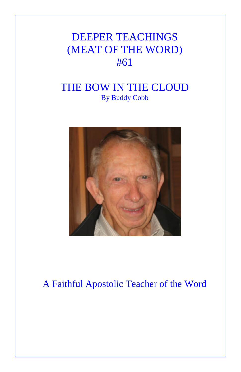## DEEPER TEACHINGS (MEAT OF THE WORD) #61

## THE BOW IN THE CLOUD By Buddy Cobb



## A Faithful Apostolic Teacher of the Word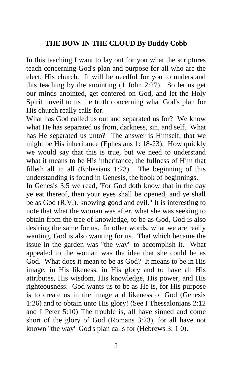## **THE BOW IN THE CLOUD By Buddy Cobb**

In this teaching I want to lay out for you what the scriptures teach concerning God's plan and purpose for all who are the elect, His church. It will be needful for you to understand this teaching by the anointing (1 John 2:27). So let us get our minds anointed, get centered on God, and let the Holy Spirit unveil to us the truth concerning what God's plan for His church really calls for.

What has God called us out and separated us for? We know what He has separated us from, darkness, sin, and self. What has He separated us unto? The answer is Himself, that we might be His inheritance (Ephesians 1: 18-23). How quickly we would say that this is true, but we need to understand what it means to be His inheritance, the fullness of Him that filleth all in all (Ephesians 1:23). The beginning of this understanding is found in Genesis, the book of beginnings.

In Genesis 3:5 we read, 'For God doth know that in the day ye eat thereof, then your eyes shall be opened, and ye shall be as God (R.V.), knowing good and evil." It is interesting to note that what the woman was after, what she was seeking to obtain from the tree of knowledge, to be as God, God is also desiring the same for us. In other words, what we are really wanting, God is also wanting for us. That which became the issue in the garden was "the way" to accomplish it. What appealed to the woman was the idea that she could be as God. What does it mean to be as God? It means to be in His image, in His likeness, in His glory and to have all His attributes, His wisdom, His knowledge, His power, and His righteousness. God wants us to be as He is, for His purpose is to create us in the image and likeness of God (Genesis 1:26) and to obtain unto His glory! (See I Thessalonians 2:12 and I Peter 5:10) The trouble is, all have sinned and come short of the glory of God (Romans 3:23), for all have not known "the way" God's plan calls for (Hebrews 3: 1 0).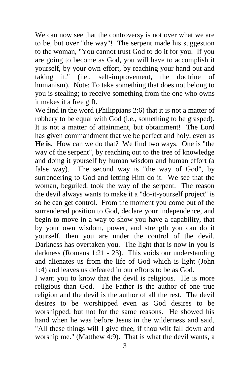We can now see that the controversy is not over what we are to be, but over "the way"! The serpent made his suggestion to the woman, "You cannot trust God to do it for you. If you are going to become as God, you will have to accomplish it yourself, by your own effort, by reaching your hand out and taking it." (i.e., self-improvement, the doctrine of humanism). Note: To take something that does not belong to you is stealing; to receive something from the one who owns it makes it a free gift.

We find in the word (Philippians 2:6) that it is not a matter of robbery to be equal with God (i.e., something to be grasped). It is not a matter of attainment, but obtainment! The Lord has given commandment that we be perfect and holy, even as **He is.** How can we do that? We find two ways. One is "the way of the serpent", by reaching out to the tree of knowledge and doing it yourself by human wisdom and human effort (a false way). The second way is "the way of God", by surrendering to God and letting Him do it. We see that the woman, beguiled, took the way of the serpent. The reason the devil always wants to make it a "do-it-yourself project" is so he can get control. From the moment you come out of the surrendered position to God, declare your independence, and begin to move in a way to show you have a capability, that by your own wisdom, power, and strength you can do it yourself, then you are under the control of the devil. Darkness has overtaken you. The light that is now in you is darkness (Romans 1:21 - 23). This voids our understanding and alienates us from the life of God which is light (John 1:4) and leaves us defeated in our efforts to be as God.

I want you to know that the devil is religious. He is more religious than God. The Father is the author of one true religion and the devil is the author of all the rest. The devil desires to be worshipped even as God desires to be worshipped, but not for the same reasons. He showed his hand when he was before Jesus in the wilderness and said, "All these things will I give thee, if thou wilt fall down and worship me." (Matthew 4:9). That is what the devil wants, a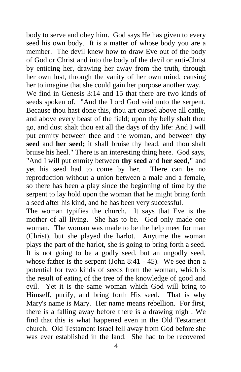body to serve and obey him. God says He has given to every seed his own body. It is a matter of whose body you are a member. The devil knew how to draw Eve out of the body of God or Christ and into the body of the devil or anti-Christ by enticing her, drawing her away from the truth, through her own lust, through the vanity of her own mind, causing her to imagine that she could gain her purpose another way.

We find in Genesis 3:14 and 15 that there are two kinds of seeds spoken of. "And the Lord God said unto the serpent, Because thou hast done this, thou art cursed above all cattle, and above every beast of the field; upon thy belly shalt thou go, and dust shalt thou eat all the days of thy life: And I will put enmity between thee and the woman, and between **thy seed** and **her seed;** it shall bruise thy head, and thou shalt bruise his heel." There is an interesting thing here. God says, "And I will put enmity between **thy seed** and **her seed,"** and yet his seed had to come by her. There can be no reproduction without a union between a male and a female, so there has been a play since the beginning of time by the serpent to lay hold upon the woman that he might bring forth a seed after his kind, and he has been very successful.

The woman typifies the church. It says that Eve is the mother of all living. She has to be. God only made one woman. The woman was made to be the help meet for man (Christ), but she played the harlot. Anytime the woman plays the part of the harlot, she is going to bring forth a seed. It is not going to be a godly seed, but an ungodly seed, whose father is the serpent (John 8:41 - 45). We see then a potential for two kinds of seeds from the woman, which is the result of eating of the tree of the knowledge of good and evil. Yet it is the same woman which God will bring to Himself, purify, and bring forth His seed. That is why Mary's name is Mary. Her name means rebellion. For first, there is a falling away before there is a drawing nigh . We find that this is what happened even in the Old Testament church. Old Testament Israel fell away from God before she was ever established in the land. She had to be recovered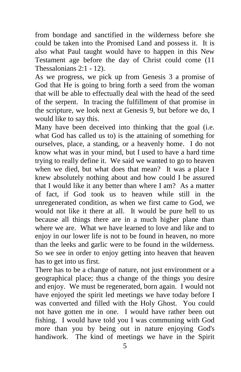from bondage and sanctified in the wilderness before she could be taken into the Promised Land and possess it. It is also what Paul taught would have to happen in this New Testament age before the day of Christ could come (11 Thessalonians 2:1 - 12).

As we progress, we pick up from Genesis 3 a promise of God that He is going to bring forth a seed from the woman that will be able to effectually deal with the head of the seed of the serpent. In tracing the fulfillment of that promise in the scripture, we look next at Genesis 9, but before we do, I would like to say this.

Many have been deceived into thinking that the goal (i.e. what God has called us to) is the attaining of something for ourselves, place, a standing, or a heavenly home. I do not know what was in your mind, but I used to have a hard time trying to really define it. We said we wanted to go to heaven when we died, but what does that mean? It was a place I knew absolutely nothing about and how could I be assured that I would like it any better than where I am? As a matter of fact, if God took us to heaven while still in the unregenerated condition, as when we first came to God, we would not like it there at all. It would be pure hell to us because all things there are in a much higher plane than where we are. What we have learned to love and like and to enjoy in our lower life is not to be found in heaven, no more than the leeks and garlic were to be found in the wilderness. So we see in order to enjoy getting into heaven that heaven has to get into us first.

There has to be a change of nature, not just environment or a geographical place; thus a change of the things you desire and enjoy. We must be regenerated, born again. I would not have enjoyed the spirit led meetings we have today before I was converted and filled with the Holy Ghost. You could not have gotten me in one. I would have rather been out fishing. I would have told you I was communing with God more than you by being out in nature enjoying God's handiwork. The kind of meetings we have in the Spirit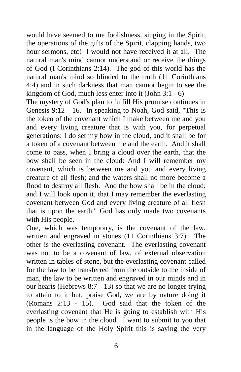would have seemed to me foolishness, singing in the Spirit, the operations of the gifts of the Spirit, clapping hands, two hour sermons, etc! I would not have received it at all. The natural man's mind cannot understand or receive the things of God (I Corinthians 2:14). The god of this world has the natural man's mind so blinded to the truth (11 Corinthians 4:4) and in such darkness that man cannot begin to see the kingdom of God, much less enter into it (John 3:1 - 6)

The mystery of God's plan to fulfill His promise continues in Genesis 9:12 - 16. In speaking to Noah, God said, "This is the token of the covenant which I make between me and you and every living creature that is with you, for perpetual generations: I do set my bow in the cloud, and it shall be for a token of a covenant between me and the earth. And it shall come to pass, when I bring a cloud over the earth, that the bow shall be seen in the cloud: And I will remember my covenant, which is between me and you and every living creature of all flesh; and the waters shall no more become a flood to destroy all flesh. And the bow shall be in the cloud; and I will look upon it, that I may remember the everlasting covenant between God and every living creature of all flesh that is upon the earth." God has only made two covenants with His people.

One, which was temporary, is the covenant of the law, written and engraved in stones (11 Corinthians 3:7). The other is the everlasting covenant. The everlasting covenant was not to be a covenant of law, of external observation written in tables of stone, but the everlasting covenant called for the law to be transferred from the outside to the inside of man, the law to be written and engraved in our minds and in our hearts (Hebrews 8:7 - 13) so that we are no longer trying to attain to it but, praise God, we are by nature doing it (Romans 2:13 - 15). God said that the token of the everlasting covenant that He is going to establish with His people is the bow in the cloud. I want to submit to you that in the language of the Holy Spirit this is saying the very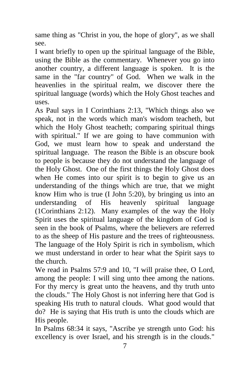same thing as "Christ in you, the hope of glory", as we shall see.

I want briefly to open up the spiritual language of the Bible, using the Bible as the commentary. Whenever you go into another country, a different language is spoken. It is the same in the "far country" of God. When we walk in the heavenlies in the spiritual realm, we discover there the spiritual language (words) which the Holy Ghost teaches and uses.

As Paul says in I Corinthians 2:13, "Which things also we speak, not in the words which man's wisdom teacheth, but which the Holy Ghost teacheth; comparing spiritual things with spiritual." If we are going to have communion with God, we must learn how to speak and understand the spiritual language. The reason the Bible is an obscure book to people is because they do not understand the language of the Holy Ghost. One of the first things the Holy Ghost does when He comes into our spirit is to begin to give us an understanding of the things which are true, that we might know Him who is true (I John 5:20), by bringing us into an understanding of His heavenly spiritual language (1Corinthians 2:12). Many examples of the way the Holy Spirit uses the spiritual language of the kingdom of God is seen in the book of Psalms, where the believers are referred to as the sheep of His pasture and the trees of righteousness. The language of the Holy Spirit is rich in symbolism, which we must understand in order to hear what the Spirit says to the church.

We read in Psalms 57:9 and 10, "I will praise thee, O Lord, among the people: I will sing unto thee among the nations. For thy mercy is great unto the heavens, and thy truth unto the clouds." The Holy Ghost is not inferring here that God is speaking His truth to natural clouds. What good would that do? He is saying that His truth is unto the clouds which are His people.

In Psalms 68:34 it says, "Ascribe ye strength unto God: his excellency is over Israel, and his strength is in the clouds."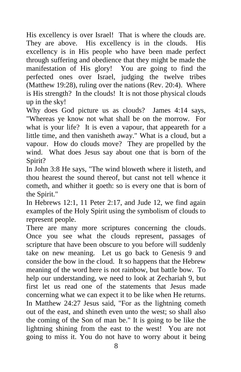His excellency is over Israel! That is where the clouds are. They are above. His excellency is in the clouds. His excellency is in His people who have been made perfect through suffering and obedience that they might be made the manifestation of His glory! You are going to find the perfected ones over Israel, judging the twelve tribes (Matthew 19:28), ruling over the nations (Rev. 20:4). Where is His strength? In the clouds! It is not those physical clouds up in the sky!

Why does God picture us as clouds? James 4:14 says, "Whereas ye know not what shall be on the morrow. For what is your life? It is even a vapour, that appeareth for a little time, and then vanisheth away." What is a cloud, but a vapour. How do clouds move? They are propelled by the wind. What does Jesus say about one that is born of the Spirit?

In John 3:8 He says, "The wind bloweth where it listeth, and thou hearest the sound thereof, but canst not tell whence it cometh, and whither it goeth: so is every one that is born of the Spirit."

In Hebrews 12:1, 11 Peter 2:17, and Jude 12, we find again examples of the Holy Spirit using the symbolism of clouds to represent people.

There are many more scriptures concerning the clouds. Once you see what the clouds represent, passages of scripture that have been obscure to you before will suddenly take on new meaning. Let us go back to Genesis 9 and consider the bow in the cloud. It so happens that the Hebrew meaning of the word here is not rainbow, but battle bow. To help our understanding, we need to look at Zechariah 9, but first let us read one of the statements that Jesus made concerning what we can expect it to be like when He returns. In Matthew 24:27 Jesus said, "For as the lightning cometh out of the east, and shineth even unto the west; so shall also the coming of the Son of man be." It is going to be like the lightning shining from the east to the west! You are not going to miss it. You do not have to worry about it being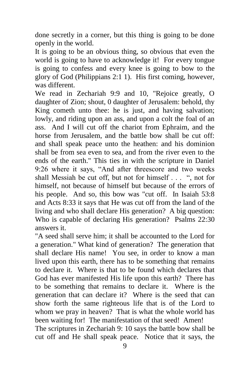done secretly in a corner, but this thing is going to be done openly in the world.

It is going to be an obvious thing, so obvious that even the world is going to have to acknowledge it! For every tongue is going to confess and every knee is going to bow to the glory of God (Philippians 2:1 1). His first coming, however, was different.

We read in Zechariah 9:9 and 10, "Rejoice greatly, O daughter of Zion; shout, 0 daughter of Jerusalem: behold, thy King cometh unto thee: he is just, and having salvation; lowly, and riding upon an ass, and upon a colt the foal of an ass. And I will cut off the chariot from Ephraim, and the horse from Jerusalem, and the battle bow shall be cut off: and shall speak peace unto the heathen: and his dominion shall be from sea even to sea, and from the river even to the ends of the earth." This ties in with the scripture in Daniel 9:26 where it says, "And after threescore and two weeks shall Messiah be cut off, but not for himself . . . ", not for himself, not because of himself but because of the errors of his people. And so, this bow was "cut off. In Isaiah 53:8 and Acts 8:33 it says that He was cut off from the land of the living and who shall declare His generation? A big question: Who is capable of declaring His generation? Psalms 22:30 answers it.

"A seed shall serve him; it shall be accounted to the Lord for a generation." What kind of generation? The generation that shall declare His name! You see, in order to know a man lived upon this earth, there has to be something that remains to declare it. Where is that to be found which declares that God has ever manifested His life upon this earth? There has to be something that remains to declare it. Where is the generation that can declare it? Where is the seed that can show forth the same righteous life that is of the Lord to whom we pray in heaven? That is what the whole world has been waiting for! The manifestation of that seed! Amen! The scriptures in Zechariah 9: 10 says the battle bow shall be cut off and He shall speak peace. Notice that it says, the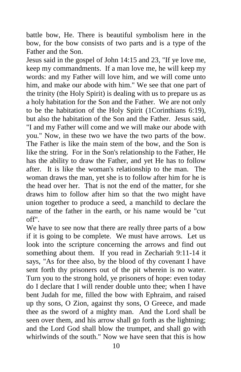battle bow, He. There is beautiful symbolism here in the bow, for the bow consists of two parts and is a type of the Father and the Son.

Jesus said in the gospel of John 14:15 and 23, "If ye love me, keep my commandments. If a man love me, he will keep my words: and my Father will love him, and we will come unto him, and make our abode with him." We see that one part of the trinity (the Holy Spirit) is dealing with us to prepare us as a holy habitation for the Son and the Father. We are not only to be the habitation of the Holy Spirit (1Corinthians 6:19), but also the habitation of the Son and the Father. Jesus said, "I and my Father will come and we will make our abode with you." Now, in these two we have the two parts of the bow. The Father is like the main stem of the bow, and the Son is like the string. For in the Son's relationship to the Father, He has the ability to draw the Father, and yet He has to follow after. It is like the woman's relationship to the man. The woman draws the man, yet she is to follow after him for he is the head over her. That is not the end of the matter, for she draws him to follow after him so that the two might have union together to produce a seed, a manchild to declare the name of the father in the earth, or his name would be "cut off".

We have to see now that there are really three parts of a bow if it is going to be complete. We must have arrows. Let us look into the scripture concerning the arrows and find out something about them. If you read in Zechariah 9:11-14 it says, "As for thee also, by the blood of thy covenant I have sent forth thy prisoners out of the pit wherein is no water. Turn you to the strong hold, ye prisoners of hope: even today do I declare that I will render double unto thee; when I have bent Judah for me, filled the bow with Ephraim, and raised up thy sons, O Zion, against thy sons, O Greece, and made thee as the sword of a mighty man. And the Lord shall be seen over them, and his arrow shall go forth as the lightning; and the Lord God shall blow the trumpet, and shall go with whirlwinds of the south." Now we have seen that this is how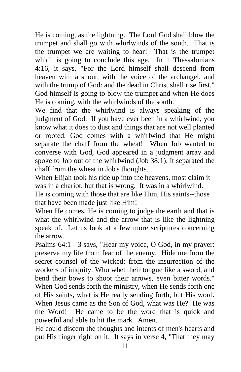He is coming, as the lightning. The Lord God shall blow the trumpet and shall go with whirlwinds of the south. That is the trumpet we are waiting to hear! That is the trumpet which is going to conclude this age. In 1 Thessalonians 4:16, it says, "For the Lord himself shall descend from heaven with a shout, with the voice of the archangel, and with the trump of God: and the dead in Christ shall rise first." God himself is going to blow the trumpet and when He does He is coming, with the whirlwinds of the south.

We find that the whirlwind is always speaking of the judgment of God. If you have ever been in a whirlwind, you know what it does to dust and things that are not well planted or rooted. God comes with a whirlwind that He might separate the chaff from the wheat! When Job wanted to converse with God, God appeared in a judgment array and spoke to Job out of the whirlwind (Job 38:1). It separated the chaff from the wheat in Job's thoughts.

When Elijah took his ride up into the heavens, most claim it was in a chariot, but that is wrong. It was in a whirlwind. He is coming with those that are like Him, His saints--those that have been made just like Him!

When He comes, He is coming to judge the earth and that is what the whirlwind and the arrow that is like the lightning speak of. Let us look at a few more scriptures concerning the arrow.

Psalms 64:1 - 3 says, "Hear my voice, O God, in my prayer: preserve my life from fear of the enemy. Hide me from the secret counsel of the wicked; from the insurrection of the workers of iniquity: Who whet their tongue like a sword, and bend their bows to shoot their arrows, even bitter words." When God sends forth the ministry, when He sends forth one of His saints, what is He really sending forth, but His word. When Jesus came as the Son of God, what was He? He was the Word! He came to be the word that is quick and powerful and able to hit the mark. Amen.

He could discern the thoughts and intents of men's hearts and put His finger right on it. It says in verse 4, "That they may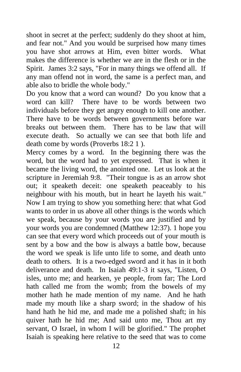shoot in secret at the perfect; suddenly do they shoot at him, and fear not." And you would be surprised how many times you have shot arrows at Him, even bitter words. What makes the difference is whether we are in the flesh or in the Spirit. James 3:2 says, "For in many things we offend all. If any man offend not in word, the same is a perfect man, and able also to bridle the whole body."

Do you know that a word can wound? Do you know that a word can kill? There have to be words between two individuals before they get angry enough to kill one another. There have to be words between governments before war breaks out between them. There has to be law that will execute death. So actually we can see that both life and death come by words (Proverbs 18:2 1 ).

Mercy comes by a word. In the beginning there was the word, but the word had to yet expressed. That is when it became the living word, the anointed one. Let us look at the scripture in Jeremiah 9:8. "Their tongue is as an arrow shot out; it speaketh deceit: one speaketh peaceably to his neighbour with his mouth, but in heart he layeth his wait." Now I am trying to show you something here: that what God wants to order in us above all other things is the words which we speak, because by your words you are justified and by your words you are condemned (Matthew 12:37). 1 hope you can see that every word which proceeds out of your mouth is sent by a bow and the bow is always a battle bow, because the word we speak is life unto life to some, and death unto death to others. It is a two-edged sword and it has in it both deliverance and death. In Isaiah 49:1-3 it says, "Listen, O isles, unto me; and hearken, ye people, from far; The Lord hath called me from the womb; from the bowels of my mother hath he made mention of my name. And he hath made my mouth like a sharp sword; in the shadow of his hand hath he hid me, and made me a polished shaft; in his quiver hath he hid me; And said unto me, Thou art my servant, O Israel, in whom I will be glorified." The prophet Isaiah is speaking here relative to the seed that was to come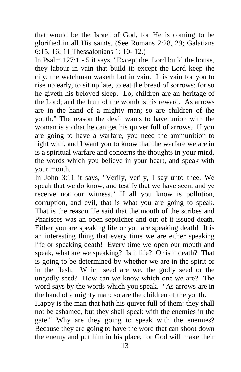that would be the Israel of God, for He is coming to be glorified in all His saints. (See Romans 2:28, 29; Galatians 6:15, 16; 11 Thessalonians 1: 10- 12.)

In Psalm 127:1 - 5 it says, "Except the, Lord build the house, they labour in vain that build it: except the Lord keep the city, the watchman waketh but in vain. It is vain for you to rise up early, to sit up late, to eat the bread of sorrows: for so he giveth his beloved sleep. Lo, children are an heritage of the Lord; and the fruit of the womb is his reward. As arrows are in the hand of a mighty man; so are children of the youth." The reason the devil wants to have union with the woman is so that he can get his quiver full of arrows. If you are going to have a warfare, you need the ammunition to fight with, and I want you to know that the warfare we are in is a spiritual warfare and concerns the thoughts in your mind, the words which you believe in your heart, and speak with your mouth.

In John 3:11 it says, "Verily, verily, I say unto thee, We speak that we do know, and testify that we have seen; and ye receive not our witness." If all you know is pollution, corruption, and evil, that is what you are going to speak. That is the reason He said that the mouth of the scribes and Pharisees was an open sepulcher and out of it issued death. Either you are speaking life or you are speaking death! It is an interesting thing that every time we are either speaking life or speaking death! Every time we open our mouth and speak, what are we speaking? Is it life? Or is it death? That is going to be determined by whether we are in the spirit or in the flesh. Which seed are we, the godly seed or the ungodly seed? How can we know which one we are? The word says by the words which you speak. "As arrows are in the hand of a mighty man; so are the children of the youth.

Happy is the man that hath his quiver full of them: they shall not be ashamed, but they shall speak with the enemies in the gate." Why are they going to speak with the enemies? Because they are going to have the word that can shoot down the enemy and put him in his place, for God will make their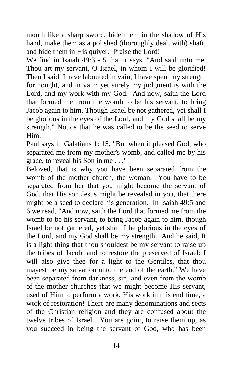mouth like a sharp sword, hide them in the shadow of His hand, make them as a polished (thoroughly dealt with) shaft, and hide them in His quiver. Praise the Lord!

We find in Isaiah 49:3 - 5 that it says, "And said unto me, Thou art my servant, O Israel, in whom I will be glorified! Then I said, I have laboured in vain, I have spent my strength for nought, and in vain: yet surely my judgment is with the Lord, and my work with my God. And now, saith the Lord that formed me from the womb to be his servant, to bring Jacob again to him, Though Israel be not gathered, yet shall I be glorious in the eyes of the Lord, and my God shall be my strength." Notice that he was called to be the seed to serve Him.

Paul says in Galatians 1: 15, "But when it pleased God, who separated me from my mother's womb, and called me by his grace, to reveal his Son in me . . ."

Beloved, that is why you have been separated from the womb of the mother church, the woman. You have to be separated from her that you might become the servant of God, that His son Jesus might be revealed in you, that there might be a seed to declare his generation. In Isaiah 49:5 and 6 we read, "And now, saith the Lord that formed me from the womb to be his servant, to bring Jacob again to him, though Israel be not gathered, yet shall I be glorious in the eyes of the Lord, and my God shall be my strength. And he said, It is a light thing that thou shouldest be my servant to raise up the tribes of Jacob, and to restore the preserved of Israel: I will also give thee for a light to the Gentiles, that thou mayest be my salvation unto the end of the earth." We have been separated from darkness, sin, and even from the womb of the mother churches that we might become His servant, used of Him to perform a work, His work in this end time, a work of restoration! There are many denominations and sects of the Christian religion and they are confused about the twelve tribes of Israel. You are going to raise them up, as you succeed in being the servant of God, who has been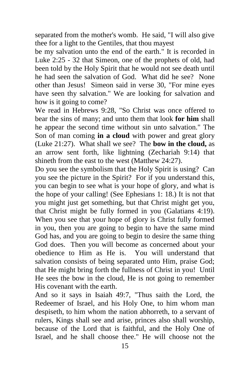separated from the mother's womb. He said, "I will also give thee for a light to the Gentiles, that thou mayest

be my salvation unto the end of the earth." It is recorded in Luke 2:25 - 32 that Simeon, one of the prophets of old, had been told by the Holy Spirit that he would not see death until he had seen the salvation of God. What did he see? None other than Jesus! Simeon said in verse 30, "For mine eyes have seen thy salvation." We are looking for salvation and how is it going to come?

We read in Hebrews 9:28, "So Christ was once offered to bear the sins of many; and unto them that look **for him** shall he appear the second time without sin unto salvation." The Son of man coming **in a cloud** with power and great glory (Luke 21:27). What shall we see? The **bow in the cloud,** as an arrow sent forth, like lightning (Zechariah 9:14) that shineth from the east to the west (Matthew 24:27).

Do you see the symbolism that the Holy Spirit is using? Can you see the picture in the Spirit? For if you understand this, you can begin to see what is your hope of glory, and what is the hope of your calling! (See Ephesians 1: 18.) It is not that you might just get something, but that Christ might get you, that Christ might be fully formed in you (Galatians 4:19). When you see that your hope of glory is Christ fully formed in you, then you are going to begin to have the same mind God has, and you are going to begin to desire the same thing God does. Then you will become as concerned about your obedience to Him as He is. You will understand that salvation consists of being separated unto Him, praise God; that He might bring forth the fullness of Christ in you! Until He sees the bow in the cloud, He is not going to remember His covenant with the earth.

And so it says in Isaiah 49:7, "Thus saith the Lord, the Redeemer of Israel, and his Holy One, to him whom man despiseth, to him whom the nation abhorreth, to a servant of rulers, Kings shall see and arise, princes also shall worship, because of the Lord that is faithful, and the Holy One of Israel, and he shall choose thee." He will choose not the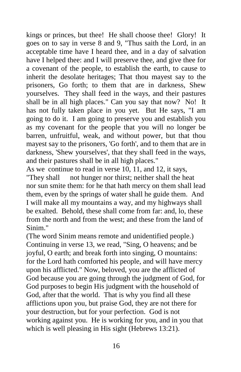kings or princes, but thee! He shall choose thee! Glory! It goes on to say in verse 8 and 9, "Thus saith the Lord, in an acceptable time have I heard thee, and in a day of salvation have I helped thee: and I will preserve thee, and give thee for a covenant of the people, to establish the earth, to cause to inherit the desolate heritages; That thou mayest say to the prisoners, Go forth; to them that are in darkness, Shew yourselves. They shall feed in the ways, and their pastures shall be in all high places." Can you say that now? No! It has not fully taken place in you yet. But He says, "I am going to do it. I am going to preserve you and establish you as my covenant for the people that you will no longer be barren, unfruitful, weak, and without power, but that thou mayest say to the prisoners, 'Go forth', and to them that are in darkness, 'Shew yourselves', that they shall feed in the ways, and their pastures shall be in all high places."

As we continue to read in verse 10, 11, and 12, it says, "They shall not hunger nor thirst; neither shall the heat nor sun smite them: for he that hath mercy on them shall lead them, even by the springs of water shall he guide them. And I will make all my mountains a way, and my highways shall be exalted. Behold, these shall come from far: and, lo, these from the north and from the west; and these from the land of Sinim."

(The word Sinim means remote and unidentified people.) Continuing in verse 13, we read, "Sing, O heavens; and be joyful, O earth; and break forth into singing, O mountains: for the Lord hath comforted his people, and will have mercy upon his afflicted." Now, beloved, you are the afflicted of God because you are going through the judgment of God, for God purposes to begin His judgment with the household of God, after that the world. That is why you find all these afflictions upon you, but praise God, they are not there for your destruction, but for your perfection. God is not working against you. He is working for you, and in you that which is well pleasing in His sight (Hebrews 13:21).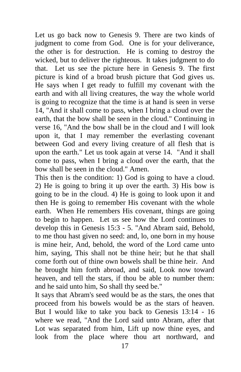Let us go back now to Genesis 9. There are two kinds of judgment to come from God. One is for your deliverance, the other is for destruction. He is coming to destroy the wicked, but to deliver the righteous. It takes judgment to do that. Let us see the picture here in Genesis 9. The first picture is kind of a broad brush picture that God gives us. He says when I get ready to fulfill my covenant with the earth and with all living creatures, the way the whole world is going to recognize that the time is at hand is seen in verse 14, "And it shall come to pass, when I bring a cloud over the earth, that the bow shall be seen in the cloud." Continuing in verse 16, "And the bow shall be in the cloud and I will look upon it, that I may remember the everlasting covenant between God and every living creature of all flesh that is upon the earth." Let us took again at verse 14. "And it shall come to pass, when I bring a cloud over the earth, that the bow shall be seen in the cloud." Amen.

This then is the condition: 1) God is going to have a cloud. 2) He is going to bring it up over the earth. 3) His bow is going to be in the cloud. 4) He is going to look upon it and then He is going to remember His covenant with the whole earth. When He remembers His covenant, things are going to begin to happen. Let us see how the Lord continues to develop this in Genesis 15:3 - 5. "And Abram said, Behold, to me thou hast given no seed: and, lo, one born in my house is mine heir, And, behold, the word of the Lord came unto him, saying, This shall not be thine heir; but he that shall come forth out of thine own bowels shall be thine heir. And he brought him forth abroad, and said, Look now toward heaven, and tell the stars, if thou be able to number them: and he said unto him, So shall thy seed be."

It says that Abram's seed would be as the stars, the ones that proceed from his bowels would be as the stars of heaven. But I would like to take you back to Genesis 13:14 - 16 where we read, "And the Lord said unto Abram, after that Lot was separated from him, Lift up now thine eyes, and look from the place where thou art northward, and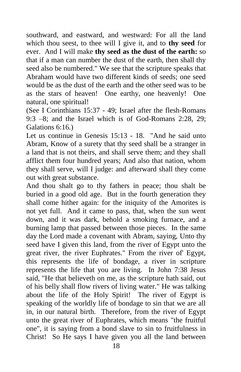southward, and eastward, and westward: For all the land which thou seest, to thee will I give it, and to **thy seed** for ever. And I will make **thy seed as the dust of the earth:** so that if a man can number the dust of the earth, then shall thy seed also be numbered." We see that the scripture speaks that Abraham would have two different kinds of seeds; one seed would be as the dust of the earth and the other seed was to be as the stars of heaven! One earthy, one heavenly! One natural, one spiritual!

(See I Corinthians 15:37 - 49; Israel after the flesh-Romans 9:3 –8; and the Israel which is of God-Romans 2:28, 29; Galations 6:16.)

Let us continue in Genesis 15:13 - 18. "And he said unto Abram, Know of a surety that thy seed shall be a stranger in a land that is not theirs, and shall serve them; and they shall afflict them four hundred years; And also that nation, whom they shall serve, will I judge: and afterward shall they come out with great substance.

And thou shalt go to thy fathers in peace; thou shalt be buried in a good old age. But in the fourth generation they shall come hither again: for the iniquity of the Amorites is not yet full. And it came to pass, that, when the sun went down, and it was dark, behold a smoking furnace, and a burning lamp that passed between those pieces. In the same day the Lord made a covenant with Abram, saying, Unto thy seed have I given this land, from the river of Egypt unto the great river, the river Euphrates." From the river of' Egypt, this represents the life of bondage, a river in scripture represents the life that you are living. In John 7:38 Jesus said, "He that believeth on me, as the scripture hath said, out of his belly shall flow rivers of living water." He was talking about the life of the Holy Spirit! The river of Egypt is speaking of the worldly life of bondage to sin that we are all in, in our natural birth. Therefore, from the river of Egypt unto the great river of Euphrates, which means "the fruitful one", it is saying from a bond slave to sin to fruitfulness in Christ! So He says I have given you all the land between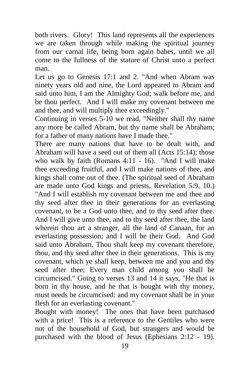both rivers. Glory! This land represents all the experiences we are taken through while making the spiritual journey from our carnal life, being born again babes, until we all come to the fullness of the stature of Christ unto a perfect man.

Let us go to Genesis 17:1 and 2. "And when Abram was ninety years old and nine, the Lord appeared to Abram and said unto him, I am the Almighty God; walk before me, and be thou perfect. And I will make my covenant between me and thee, and will multiply thee exceedingly."

Continuing in verses 5-10 we read, "Neither shall thy name any more be called Abram, but thy name shall be Abraham; for a father of many nations have I made thee."

There are many nations that have to be dealt with, and Abraham will have a seed out of them all (Acts 15:14); those who walk by faith (Romans 4:11 - 16). "And I will make thee exceeding fruitful, and I will make nations of thee, and kings shall come out of thee. (The spiritual seed of Abraham are made unto God kings and priests, Revelation 5:9, 10.) "And I will establish my covenant between me and thee and thy seed after thee in their generations for an everlasting covenant, to be a God unto thee, and to thy seed after thee. And I will give unto thee, and to thy seed after thee, the land wherein thou art a stranger, all the land of Canaan, for an everlasting possession; and I will be their God. And God said unto Abraham, Thou shalt keep my covenant therefore, thou, and thy seed after thee in their generations. This is my covenant, which ye shall keep, between me and you and thy seed after thee; Every man child among you shall be circumcised." Going to verses 13 and 14 it says, "He that is born in thy house, and he that is bought with thy money, must needs be circumcised: and my covenant shall be in your flesh for an everlasting covenant."

Bought with money! The ones that have been purchased with a price! This is a reference to the Gentiles who were not of the household of God, but strangers and would be purchased with the blood of Jesus (Ephesians 2:12 - 19).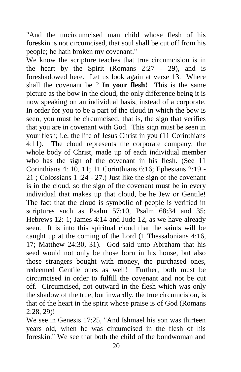"And the uncircumcised man child whose flesh of his foreskin is not circumcised, that soul shall be cut off from his people; he hath broken my covenant."

We know the scripture teaches that true circumcision is in the heart by the Spirit (Romans 2:27 - 29), and is foreshadowed here. Let us look again at verse 13. Where shall the covenant be ? **In your flesh!** This is the same picture as the bow in the cloud, the only difference being it is now speaking on an individual basis, instead of a corporate. In order for you to be a part of the cloud in which the bow is seen, you must be circumcised; that is, the sign that verifies that you are in covenant with God. This sign must be seen in your flesh; i.e. the life of Jesus Christ in you (11 Corinthians 4:11). The cloud represents the corporate company, the whole body of Christ, made up of each individual member who has the sign of the covenant in his flesh. (See 11 Corinthians 4: 10, 11; 11 Corinthians 6:16; Ephesians 2:19 - 21 ; Colossians 1 :24 - 27.) Just like the sign of the covenant is in the cloud, so the sign of the covenant must be in every individual that makes up that cloud, be he Jew or Gentile! The fact that the cloud is symbolic of people is verified in scriptures such as Psalm 57:10, Psalm 68:34 and 35; Hebrews 12: 1; James 4:14 and Jude 12, as we have already seen. It is into this spiritual cloud that the saints will be caught up at the coming of the Lord (1 Thessalonians 4:16, 17; Matthew 24:30, 31). God said unto Abraham that his seed would not only be those born in his house, but also those strangers bought with money, the purchased ones, redeemed Gentile ones as well! Further, both must be circumcised in order to fulfill the covenant and not be cut off. Circumcised, not outward in the flesh which was only the shadow of the true, but inwardly, the true circumcision, is that of the heart in the spirit whose praise is of God (Romans 2:28, 29)!

We see in Genesis 17:25, "And Ishmael his son was thirteen years old, when he was circumcised in the flesh of his foreskin." We see that both the child of the bondwoman and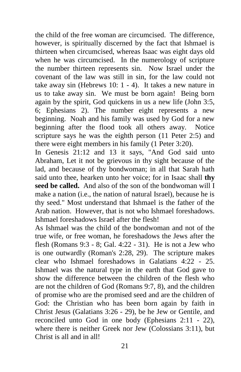the child of the free woman are circumcised. The difference, however, is spiritually discerned by the fact that Ishmael is thirteen when circumcised, whereas Isaac was eight days old when he was circumcised. In the numerology of scripture the number thirteen represents sin. Now Israel under the covenant of the law was still in sin, for the law could not take away sin (Hebrews 10: 1 - 4). It takes a new nature in us to take away sin. We must be born again! Being born again by the spirit, God quickens in us a new life (John 3:5, 6; Ephesians 2). The number eight represents a new beginning. Noah and his family was used by God for a new beginning after the flood took all others away. Notice scripture says he was the eighth person (11 Peter 2:5) and there were eight members in his family (1 Peter 3:20).

In Genesis 21:12 and 13 it says, "And God said unto Abraham, Let it not be grievous in thy sight because of the lad, and because of thy bondwoman; in all that Sarah hath said unto thee, hearken unto her voice; for in Isaac shall **thy seed be called.** And also of the son of the bondwoman will I make a nation (i.e., the nation of natural Israel), because he is thy seed." Most understand that Ishmael is the father of the Arab nation. However, that is not who Ishmael foreshadows. Ishmael foreshadows Israel after the flesh!

As Ishmael was the child of the bondwoman and not of the true wife, or free woman, he foreshadows the Jews after the flesh (Romans 9:3 - 8; Gal. 4:22 - 31). He is not a Jew who is one outwardly (Roman's 2:28, 29). The scripture makes clear who Ishmael foreshadows in Galatians 4:22 - 25. Ishmael was the natural type in the earth that God gave to show the difference between the children of the flesh who are not the children of God (Romans 9:7, 8), and the children of promise who are the promised seed and are the children of God: the Christian who has been born again by faith in Christ Jesus (Galatians 3:26 - 29), be he Jew or Gentile, and reconciled unto God in one body (Ephesians 2:11 - 22), where there is neither Greek nor Jew (Colossians 3:11), but Christ is all and in all!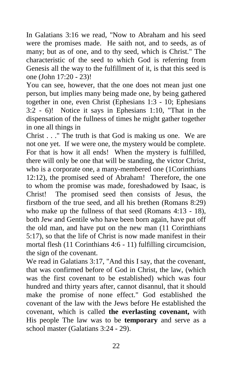In Galatians 3:16 we read, "Now to Abraham and his seed were the promises made. He saith not, and to seeds, as of many; but as of one, and to thy seed, which is Christ." The characteristic of the seed to which God is referring from Genesis all the way to the fulfillment of it, is that this seed is one (John 17:20 - 23)!

You can see, however, that the one does not mean just one person, but implies many being made one, by being gathered together in one, even Christ (Ephesians 1:3 - 10; Ephesians 3:2 - 6)! Notice it says in Ephesians 1:10, "That in the dispensation of the fullness of times he might gather together in one all things in

Christ . . ." The truth is that God is making us one. We are not one yet. If we were one, the mystery would be complete. For that is how it all ends! When the mystery is fulfilled, there will only be one that will be standing, the victor Christ, who is a corporate one, a many-membered one (1Corinthians 12:12), the promised seed of Abraham! Therefore, the one to whom the promise was made, foreshadowed by Isaac, is Christ! The promised seed then consists of Jesus, the firstborn of the true seed, and all his brethen (Romans 8:29) who make up the fullness of that seed (Romans 4:13 - 18), both Jew and Gentile who have been born again, have put off the old man, and have put on the new man (11 Corinthians 5:17), so that the life of Christ is now made manifest in their mortal flesh (11 Corinthians 4:6 - 11) fulfilling circumcision, the sign of the covenant.

We read in Galatians 3:17, "And this I say, that the covenant, that was confirmed before of God in Christ, the law, (which was the first covenant to be established) which was four hundred and thirty years after, cannot disannul, that it should make the promise of none effect." God established the covenant of the law with the Jews before He established the covenant, which is called **the everlasting covenant,** with His people The law was to be **temporary** and serve as a school master (Galatians 3:24 - 29).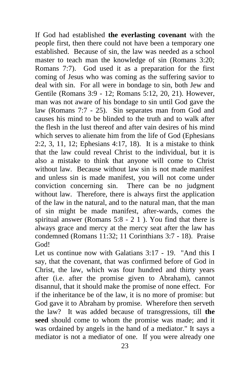If God had established **the everlasting covenant** with the people first, then there could not have been a temporary one established. Because of sin, the law was needed as a school master to teach man the knowledge of sin (Romans 3:20; Romans 7:7). God used it as a preparation for the first coming of Jesus who was coming as the suffering savior to deal with sin. For all were in bondage to sin, both Jew and Gentile (Romans 3:9 - 12; Romans 5:12, 20, 21). However, man was not aware of his bondage to sin until God gave the law (Romans 7:7 - 25). Sin separates man from God and causes his mind to be blinded to the truth and to walk after the flesh in the lust thereof and after vain desires of his mind which serves to alienate him from the life of God (Ephesians 2:2, 3, 11, 12; Ephesians 4:17, 18). It is a mistake to think that the law could reveal Christ to the individual, but it is also a mistake to think that anyone will come to Christ without law. Because without law sin is not made manifest and unless sin is made manifest, you will not come under conviction concerning sin. There can be no judgment without law. Therefore, there is always first the application of the law in the natural, and to the natural man, that the man of sin might be made manifest, after-wards, comes the spiritual answer (Romans 5:8 - 2 1 ). You find that there is always grace and mercy at the mercy seat after the law has condemned (Romans 11:32; 11 Corinthians 3:7 - 18). Praise God!

Let us continue now with Galatians 3:17 - 19. "And this I say, that the covenant, that was confirmed before of God in Christ, the law, which was four hundred and thirty years after (i.e. after the promise given to Abraham), cannot disannul, that it should make the promise of none effect. For if the inheritance be of the law, it is no more of promise: but God gave it to Abraham by promise. Wherefore then serveth the law? It was added because of transgressions, till **the seed** should come to whom the promise was made; and it was ordained by angels in the hand of a mediator." It says a mediator is not a mediator of one. If you were already one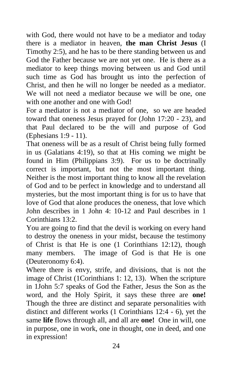with God, there would not have to be a mediator and today there is a mediator in heaven, **the man Christ Jesus** (I Timothy 2:5), and he has to be there standing between us and God the Father because we are not yet one. He is there as a mediator to keep things moving between us and God until such time as God has brought us into the perfection of Christ, and then he will no longer be needed as a mediator. We will not need a mediator because we will be one, one with one another and one with God!

For a mediator is not a mediator of one, so we are headed toward that oneness Jesus prayed for (John 17:20 - 23), and that Paul declared to be the will and purpose of God (Ephesians 1:9 - 11).

That oneness will be as a result of Christ being fully formed in us (Galatians 4:19), so that at His coming we might be found in Him (Philippians 3:9). For us to be doctrinally correct is important, but not the most important thing. Neither is the most important thing to know all the revelation of God and to be perfect in knowledge and to understand all mysteries, but the most important thing is for us to have that love of God that alone produces the oneness, that love which John describes in 1 John 4: 10-12 and Paul describes in 1 Corinthians 13:2.

You are going to find that the devil is working on every hand to destroy the oneness in your midst, because the testimony of Christ is that He is one (1 Corinthians 12:12), though many members. The image of God is that He is one (Deuteronomy 6:4).

Where there is envy, strife, and divisions, that is not the image of Christ (1Corinthians 1: 12, 13). When the scripture in 1John 5:7 speaks of God the Father, Jesus the Son as the word, and the Holy Spirit, it says these three are **one!**  Though the three are distinct and separate personalities with distinct and different works (1 Corinthians 12:4 - 6), yet the same **life** flows through all, and all are **one!** One in will, one in purpose, one in work, one in thought, one in deed, and one in expression!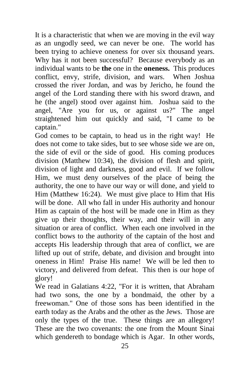It is a characteristic that when we are moving in the evil way as an ungodly seed, we can never be one. The world has been trying to achieve oneness for over six thousand years. Why has it not been successful? Because everybody as an individual wants to be **the** one in the **oneness.** This produces conflict, envy, strife, division, and wars. When Joshua crossed the river Jordan, and was by Jericho, he found the angel of the Lord standing there with his sword drawn, and he (the angel) stood over against him. Joshua said to the angel, "Are you for us, or against us?" The angel straightened him out quickly and said, "I came to be captain."

God comes to be captain, to head us in the right way! He does not come to take sides, but to see whose side we are on, the side of evil or the side of good. His coming produces division (Matthew 10:34), the division of flesh and spirit, division of light and darkness, good and evil. If we follow Him, we must deny ourselves of the place of being the authority, the one to have our way or will done, and yield to Him (Matthew 16:24). We must give place to Him that His will be done. All who fall in under His authority and honour Him as captain of the host will be made one in Him as they give up their thoughts, their way, and their will in any situation or area of conflict. When each one involved in the conflict bows to the authority of the captain of the host and accepts His leadership through that area of conflict, we are lifted up out of strife, debate, and division and brought into oneness in Him! Praise His name! We will be led then to victory, and delivered from defeat. This then is our hope of glory!

We read in Galatians 4:22, "For it is written, that Abraham had two sons, the one by a bondmaid, the other by a freewoman." One of those sons has been identified in the earth today as the Arabs and the other as the Jews. Those are only the types of the true. These things are an allegory! These are the two covenants: the one from the Mount Sinai which gendereth to bondage which is Agar. In other words,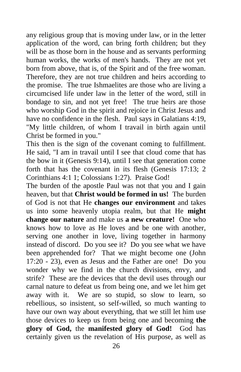any religious group that is moving under law, or in the letter application of the word, can bring forth children; but they will be as those born in the house and as servants performing human works, the works of men's hands. They are not yet born from above, that is, of the Spirit and of the free woman. Therefore, they are not true children and heirs according to the promise. The true Ishmaelites are those who are living a circumcised life under law in the letter of the word, still in bondage to sin, and not yet free! The true heirs are those who worship God in the spirit and rejoice in Christ Jesus and have no confidence in the flesh. Paul says in Galatians 4:19, "My little children, of whom I travail in birth again until Christ be formed in you."

This then is the sign of the covenant coming to fulfillment. He said, "I am in travail until I see that cloud come that has the bow in it (Genesis 9:14), until I see that generation come forth that has the covenant in its flesh (Genesis 17:13; 2 Corinthians 4:1 1; Colossians 1:27). Praise God!

The burden of the apostle Paul was not that you and I gain heaven, but that **Christ would be formed in us!** The burden of God is not that He **changes our environment** and takes us into some heavenly utopia realm, but that He **might change our nature** and make us **a new creature!** One who knows how to love as He loves and be one with another, serving one another in love, living together in harmony instead of discord. Do you see it? Do you see what we have been apprehended for? That we might become one (John 17:20 - 23), even as Jesus and the Father are one! Do you wonder why we find in the church divisions, envy, and strife? These are the devices that the devil uses through our carnal nature to defeat us from being one, and we let him get away with it. We are so stupid, so slow to learn, so rebellious, so insistent, so self-willed, so much wanting to have our own way about everything, that we still let him use those devices to keep us from being one and becoming **the glory of God,** the **manifested glory of God!** God has certainly given us the revelation of His purpose, as well as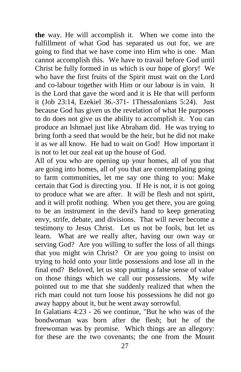**the** way. He will accomplish it. When we come into the fulfillment of what God has separated us out for, we are going to find that we have come into Him who is one. Man cannot accomplish this. We have to travail before God until Christ be fully formed in us which is our hope of glory! We who have the first fruits of the Spirit must wait on the Lord and co-labour together with Him or our labour is in vain. It is the Lord that gave the word and it is He that will perform it (Job 23:14, Ezekiel 36.-371- 1Thessalonians 5:24). Just because God has given us the revelation of what He purposes to do does not give us the ability to accomplish it. You can produce an Ishmael just like Abraham did. He was trying to bring forth a seed that would be the heir, but he did not make it as we all know. He had to wait on God! How important it is not to let our zeal eat up the house of God.

All of you who are opening up your homes, all of you that are going into homes, all of you that are contemplating going to farm communities, let me say one thing to you: Make certain that God is directing you. If He is not, it is not going to produce what we are after. It will be flesh and not spirit, and it will profit nothing. When you get there, you are going to be an instrument in the devil's hand to keep generating envy, strife, debate, and divisions. That will never become a testimony to Jesus Christ. Let us not be fools, but let us learn. What are we really after, having our own way or serving God? Are you willing to suffer the loss of all things that you might win Christ? Or are you going to insist on trying to hold onto your little possessions and lose all in the final end? Beloved, let us stop putting a false sense of value on those things which we call our possessions. My wife pointed out to me that she suddenly realized that when the rich man could not turn loose his possessions he did not go away happy about it, but he went away sorrowful.

In Galatians 4:23 - 26 we continue, "But he who was of the bondwoman was born after the flesh; but he of the freewoman was by promise. Which things are an allegory: for these are the two covenants; the one from the Mount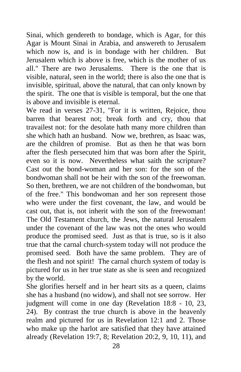Sinai, which gendereth to bondage, which is Agar, for this Agar is Mount Sinai in Arabia, and answereth to Jerusalem which now is, and is in bondage with her children. But Jerusalem which is above is free, which is the mother of us all." There are two Jerusalems. There is the one that is visible, natural, seen in the world; there is also the one that is invisible, spiritual, above the natural, that can only known by the spirit. The one that is visible is temporal, but the one that is above and invisible is eternal.

We read in verses 27-31, "For it is written, Rejoice, thou barren that bearest not; break forth and cry, thou that travailest not: for the desolate hath many more children than she which hath an husband. Now we, brethren, as Isaac was, are the children of promise. But as then he that was born after the flesh persecuted him that was born after the Spirit, even so it is now. Nevertheless what saith the scripture? Cast out the bond-woman and her son: for the son of the bondwoman shall not be heir with the son of the freewoman. So then, brethren, we are not children of the bondwoman, but of the free." This bondwoman and her son represent those who were under the first covenant, the law, and would be cast out, that is, not inherit with the son of the freewoman! The Old Testament church, the Jews, the natural Jerusalem under the covenant of the law was not the ones who would produce the promised seed. Just as that is true, so is it also true that the carnal church-system today will not produce the promised seed. Both have the same problem. They are of the flesh and not spirit! The carnal church system of today is pictured for us in her true state as she is seen and recognized by the world.

She glorifies herself and in her heart sits as a queen, claims she has a husband (no widow), and shall not see sorrow. Her judgment will come in one day (Revelation 18:8 - 10, 23, 24). By contrast the true church is above in the heavenly realm and pictured for us in Revelation 12:1 and 2. Those who make up the harlot are satisfied that they have attained already (Revelation 19:7, 8; Revelation 20:2, 9, 10, 11), and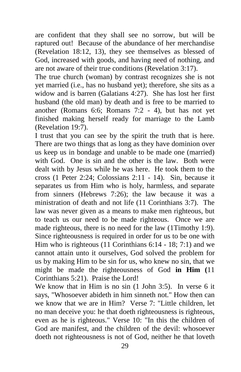are confident that they shall see no sorrow, but will be raptured out! Because of the abundance of her merchandise (Revelation 18:12, 13), they see themselves as blessed of God, increased with goods, and having need of nothing, and are not aware of their true conditions (Revelation 3:17).

The true church (woman) by contrast recognizes she is not yet married (i.e., has no husband yet); therefore, she sits as a widow and is barren (Galatians 4:27). She has lost her first husband (the old man) by death and is free to be married to another (Romans 6:6; Romans 7:2 - 4), but has not yet finished making herself ready for marriage to the Lamb (Revelation 19:7).

I trust that you can see by the spirit the truth that is here. There are two things that as long as they have dominion over us keep us in bondage and unable to be made one (married) with God. One is sin and the other is the law. Both were dealt with by Jesus while he was here. He took them to the cross (1 Peter 2:24; Colossians 2:11 - 14). Sin, because it separates us from Him who is holy, harmless, and separate from sinners (Hebrews 7:26); the law because it was a ministration of death and not life (11 Corinthians 3:7). The law was never given as a means to make men righteous, but to teach us our need to be made righteous. Once we are made righteous, there is no need for the law (1Timothy 1:9). Since righteousness is required in order for us to be one with Him who is righteous (11 Corinthians 6:14 - 18; 7:1) and we cannot attain unto it ourselves, God solved the problem for us by making Him to be sin for us, who knew no sin, that we might be made the righteousness of God **in Him (**11 Corinthians 5:21). Praise the Lord!

We know that in Him is no sin (1 John 3:5). In verse 6 it says, "Whosoever abideth in him sinneth not." How then can we know that we are in Him? Verse 7: "Little children, let no man deceive you: he that doeth righteousness is righteous, even as he is righteous." Verse 10: "In this the children of God are manifest, and the children of the devil: whosoever doeth not righteousness is not of God, neither he that loveth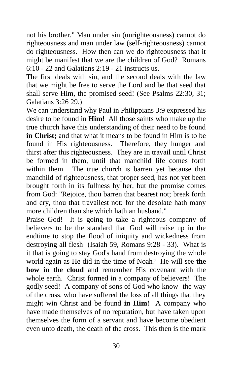not his brother." Man under sin (unrighteousness) cannot do righteousness and man under law (self-righteousness) cannot do righteousness. How then can we do righteousness that it might be manifest that we are the children of God? Romans 6:10 - 22 and Galatians 2:19 - 21 instructs us.

The first deals with sin, and the second deals with the law that we might be free to serve the Lord and be that seed that shall serve Him, the promised seed! (See Psalms 22:30, 31; Galatians 3:26 29.)

We can understand why Paul in Philippians 3:9 expressed his desire to be found in **Him!** All those saints who make up the true church have this understanding of their need to be found **in Christ;** and that what it means to be found in Him is to be found in His righteousness. Therefore, they hunger and thirst after this righteousness. They are in travail until Christ be formed in them, until that manchild life comes forth within them. The true church is barren yet because that manchild of righteousness, that proper seed, has not yet been brought forth in its fullness by her, but the promise comes from God: "Rejoice, thou barren that bearest not; break forth and cry, thou that travailest not: for the desolate hath many more children than she which hath an husband."

Praise God! It is going to take a righteous company of believers to be the standard that God will raise up in the endtime to stop the flood of iniquity and wickedness from destroying all flesh (Isaiah 59, Romans 9:28 - 33). What is it that is going to stay God's hand from destroying the whole world again as He did in the time of Noah? He will see **the bow in the cloud** and remember His covenant with the whole earth. Christ formed in a company of believers! The godly seed! A company of sons of God who know the way of the cross, who have suffered the loss of all things that they might win Christ and be found **in Him!** A company who have made themselves of no reputation, but have taken upon themselves the form of a servant and have become obedient even unto death, the death of the cross. This then is the mark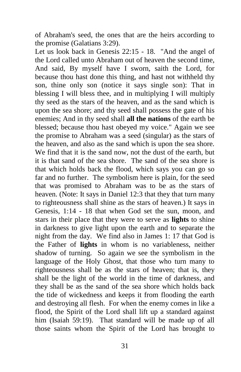of Abraham's seed, the ones that are the heirs according to the promise (Galatians 3:29).

Let us look back in Genesis 22:15 - 18. "And the angel of the Lord called unto Abraham out of heaven the second time, And said, By myself have I sworn, saith the Lord, for because thou hast done this thing, and hast not withheld thy son, thine only son (notice it says single son): That in blessing I will bless thee, and in multiplying I will multiply thy seed as the stars of the heaven, and as the sand which is upon the sea shore; and thy seed shall possess the gate of his enemies; And in thy seed shall **all the nations** of the earth be blessed; because thou hast obeyed my voice." Again we see the promise to Abraham was a seed (singular) as the stars of the heaven, and also as the sand which is upon the sea shore. We find that it is the sand now, not the dust of the earth, but it is that sand of the sea shore. The sand of the sea shore is that which holds back the flood, which says you can go so far and no further. The symbolism here is plain, for the seed that was promised to Abraham was to be as the stars of heaven. (Note: It says in Daniel 12:3 that they that turn many to righteousness shall shine as the stars of heaven.) It says in Genesis, 1:14 - 18 that when God set the sun, moon, and stars in their place that they were to serve as **lights** to shine in darkness to give light upon the earth and to separate the night from the day. We find also in James 1: 17 that God is the Father of **lights** in whom is no variableness, neither shadow of turning. So again we see the symbolism in the language of the Holy Ghost, that those who turn many to righteousness shall be as the stars of heaven; that is, they shall be the light of the world in the time of darkness, and they shall be as the sand of the sea shore which holds back the tide of wickedness and keeps it from flooding the earth and destroying all flesh. For when the enemy comes in like a flood, the Spirit of the Lord shall lift up a standard against him (Isaiah 59:19). That standard will be made up of all those saints whom the Spirit of the Lord has brought to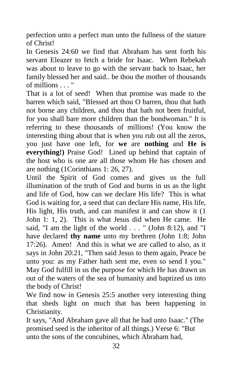perfection unto a perfect man unto the fullness of the stature of Christ!

In Genesis 24:60 we find that Abraham has sent forth his servant Eleazer to fetch a bride for Isaac. When Rebekah was about to leave to go with the servant back to Isaac, her family blessed her and said.. be thou the mother of thousands of millions . . . "

That is a lot of seed! When that promise was made to the barren which said, "Blessed art thou O barren, thou that hath not borne any children, and thou that hath not been fruitful, for you shall bare more children than the bondwoman." It is referring to these thousands of millions! (You know the interesting thing about that is when you rub out all the zeros, you just have one left, for **we** are **nothing** and **He is everything!)** Praise God! Lined up behind that captain of the host who is one are all those whom He has chosen and are nothing (1Corinthians 1: 26, 27).

Until the Spirit of God comes and gives us the full illumination of the truth of God and burns in us as the light and life of God, how can we declare His life? This is what God is waiting for, a seed that can declare His name, His life, His light, His truth, and can manifest it and can show it (1 John 1: 1, 2). This is what Jesus did when He came. He said, "I am the light of the world . . . " (John 8:12), and "I have declared **thy name** unto my brethren (John 1:8; John 17:26). Amen! And this is what we are called to also, as it says in John 20:21, "Then said Jesus to them again, Peace be unto you: as my Father hath sent me, even so send I you." May God fulfill in us the purpose for which He has drawn us out of the waters of the sea of humanity and baptized us into the body of Christ!

We find now in Genesis 25:5 another very interesting thing that sheds light on much that has been happening in Christianity.

It says, "And Abraham gave all that he had unto Isaac." (The promised seed is the inheritor of all things.) Verse 6: "But unto the sons of the concubines, which Abraham had,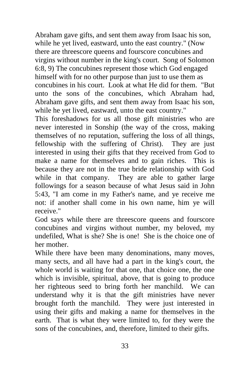Abraham gave gifts, and sent them away from Isaac his son, while he yet lived, eastward, unto the east country." (Now there are threescore queens and fourscore concubines and virgins without number in the king's court. Song of Solomon 6:8, 9) The concubines represent those which God engaged himself with for no other purpose than just to use them as concubines in his court. Look at what He did for them. "But unto the sons of the concubines, which Abraham had, Abraham gave gifts, and sent them away from Isaac his son, while he yet lived, eastward, unto the east country."

This foreshadows for us all those gift ministries who are never interested in Sonship (the way of the cross, making themselves of no reputation, suffering the loss of all things, fellowship with the suffering of Christ). They are just interested in using their gifts that they received from God to make a name for themselves and to gain riches. This is because they are not in the true bride relationship with God while in that company. They are able to gather large followings for a season because of what Jesus said in John 5:43, "I am come in my Father's name, and ye receive me not: if another shall come in his own name, him ye will receive."

God says while there are threescore queens and fourscore concubines and virgins without number, my beloved, my undefiled, What is she? She is one! She is the choice one of her mother.

While there have been many denominations, many moves, many sects, and all have had a part in the king's court, the whole world is waiting for that one, that choice one, the one which is invisible, spiritual, above, that is going to produce her righteous seed to bring forth her manchild. We can understand why it is that the gift ministries have never brought forth the manchild. They were just interested in using their gifts and making a name for themselves in the earth. That is what they were limited to, for they were the sons of the concubines, and, therefore, limited to their gifts.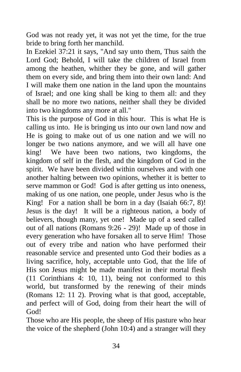God was not ready yet, it was not yet the time, for the true bride to bring forth her manchild.

In Ezekiel 37:21 it says, "And say unto them, Thus saith the Lord God; Behold, I will take the children of Israel from among the heathen, whither they be gone, and will gather them on every side, and bring them into their own land: And I will make them one nation in the land upon the mountains of Israel; and one king shall be king to them all: and they shall be no more two nations, neither shall they be divided into two kingdoms any more at all."

This is the purpose of God in this hour. This is what He is calling us into. He is bringing us into our own land now and He is going to make out of us one nation and we will no longer be two nations anymore, and we will all have one king! We have been two nations, two kingdoms, the kingdom of self in the flesh, and the kingdom of God in the spirit. We have been divided within ourselves and with one another halting between two opinions, whether it is better to serve mammon or God! God is after getting us into oneness, making of us one nation, one people, under Jesus who is the King! For a nation shall be born in a day (Isaiah 66:7, 8)! Jesus is the day! It will be a righteous nation, a body of believers, though many, yet one! Made up of a seed called out of all nations (Romans 9:26 - 29)! Made up of those in every generation who have forsaken all to serve Him! Those out of every tribe and nation who have performed their reasonable service and presented unto God their bodies as a living sacrifice, holy, acceptable unto God, that the life of His son Jesus might be made manifest in their mortal flesh (11 Corinthians 4: 10, 11), being not conformed to this world, but transformed by the renewing of their minds (Romans 12: 11 2). Proving what is that good, acceptable, and perfect will of God, doing from their heart the will of God!

Those who are His people, the sheep of His pasture who hear the voice of the shepherd (John 10:4) and a stranger will they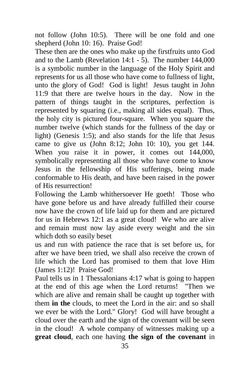not follow (John 10:5). There will be one fold and one shepherd (John 10: 16). Praise God!

These then are the ones who make up the firstfruits unto God and to the Lamb (Revelation 14:1 - 5). The number 144,000 is a symbolic number in the language of the Holy Spirit and represents for us all those who have come to fullness of light, unto the glory of God! God is light! Jesus taught in John 11:9 that there are twelve hours in the day. Now in the pattern of things taught in the scriptures, perfection is represented by squaring (i.e., making all sides equal). Thus, the holy city is pictured four-square. When you square the number twelve (which stands for the fullness of the day or light) (Genesis 1:5); and also stands for the life that Jesus came to give us (John 8:12; John 10: 10), you get 144. When you raise it in power, it comes out 144,000, symbolically representing all those who have come to know Jesus in the fellowship of His sufferings, being made conformable to His death, and have been raised in the power of His resurrection!

Following the Lamb whithersoever He goeth! Those who have gone before us and have already fulfilled their course now have the crown of life laid up for them and are pictured for us in Hebrews 12:1 as a great cloud! We who are alive and remain must now lay aside every weight and the sin which doth so easily beset

us and run with patience the race that is set before us, for after we have been tried, we shall also receive the crown of life which the Lord has promised to them that love Him (James 1:12)! Praise God!

Paul tells us in 1 Thessalonians 4:17 what is going to happen at the end of this age when the Lord returns! "Then we which are alive and remain shall be caught up together with them **in the** clouds, to meet the Lord in the air: and so shall we ever be with the Lord." Glory! God will have brought a cloud over the earth and the sign of the covenant will be seen in the cloud! A whole company of witnesses making up a **great cloud**, each one having **the sign of the covenant** in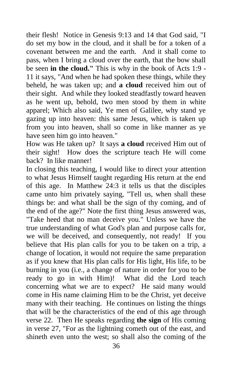their flesh! Notice in Genesis 9:13 and 14 that God said, "I do set my bow in the cloud, and it shall be for a token of a covenant between me and the earth. And it shall come to pass, when I bring a cloud over the earth, that the bow shall be seen **in the cloud."** This is why in the book of Acts 1:9 - 11 it says, "And when he had spoken these things, while they beheld, he was taken up; and **a cloud** received him out of their sight. And while they looked steadfastly toward heaven as he went up, behold, two men stood by them in white apparel; Which also said, Ye men of Galilee, why stand ye gazing up into heaven: this same Jesus, which is taken up from you into heaven, shall so come in like manner as ye have seen him go into heaven."

How was He taken up? It says **a cloud** received Him out of their sight! How does the scripture teach He will come back? In like manner!

In closing this teaching, I would like to direct your attention to what Jesus Himself taught regarding His return at the end of this age. In Matthew 24:3 it tells us that the disciples came unto him privately saying, "Tell us, when shall these things be: and what shall be the sign of thy coming, and of the end of the age?" Note the first thing Jesus answered was, "Take heed that no man deceive you." Unless we have the true understanding of what God's plan and purpose calls for, we will be deceived, and consequently, not ready! If you believe that His plan calls for you to be taken on a trip, a change of location, it would not require the same preparation as if you knew that His plan calls for His light, His life, to be burning in you (i.e., a change of nature in order for you to be ready to go in with Him)! What did the Lord teach concerning what we are to expect? He said many would come in His name claiming Him to be the Christ, yet deceive many with their teaching. He continues on listing the things that will be the characteristics of the end of this age through verse 22. Then He speaks regarding **the sign** of His coming in verse 27, "For as the lightning cometh out of the east, and shineth even unto the west; so shall also the coming of the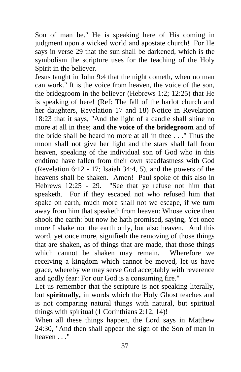Son of man be." He is speaking here of His coming in judgment upon a wicked world and apostate church! For He says in verse 29 that the sun shall be darkened, which is the symbolism the scripture uses for the teaching of the Holy Spirit in the believer.

Jesus taught in John 9:4 that the night cometh, when no man can work." It is the voice from heaven, the voice of the son, the bridegroom in the believer (Hebrews 1:2; 12:25) that He is speaking of here! (Ref: The fall of the harlot church and her daughters, Revelation 17 and 18) Notice in Revelation 18:23 that it says, "And the light of a candle shall shine no more at all in thee; **and the voice of the bridegroom** and of the bride shall be heard no more at all in thee . . ." Thus the moon shall not give her light and the stars shall fall from heaven, speaking of the individual son of God who in this endtime have fallen from their own steadfastness with God (Revelation 6:12 - 17; Isaiah 34:4, 5), and the powers of the heavens shall be shaken. Amen! Paul spoke of this also in Hebrews 12:25 - 29. "See that ye refuse not him that speaketh. For if they escaped not who refused him that spake on earth, much more shall not we escape, if we turn away from him that speaketh from heaven: Whose voice then shook the earth: but now he hath promised, saying, Yet once more I shake not the earth only, but also heaven. And this word, yet once more, signifieth the removing of those things that are shaken, as of things that are made, that those things which cannot be shaken may remain. Wherefore we receiving a kingdom which cannot be moved, let us have grace, whereby we may serve God acceptably with reverence and godly fear: For our God is a consuming fire."

Let us remember that the scripture is not speaking literally, but **spiritually,** in words which the Holy Ghost teaches and is not comparing natural things with natural, but spiritual things with spiritual (1 Corinthians 2:12, 14)!

When all these things happen, the Lord says in Matthew 24:30, "And then shall appear the sign of the Son of man in heaven . . ."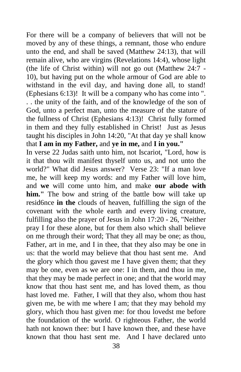For there will be a company of believers that will not be moved by any of these things, a remnant, those who endure unto the end, and shall be saved (Matthew 24:13), that will remain alive, who are virgins (Revelations 14:4), whose light (the life of Christ within) will not go out (Matthew 24:7 - 10), but having put on the whole armour of God are able to withstand in the evil day, and having done all, to stand! (Ephesians 6:13)! It will be a company who has come into ". . . the unity of the faith, and of the knowledge of the son of God, unto a perfect man, unto the measure of the stature of the fullness of Christ (Ephesians 4:13)! Christ fully formed in them and they fully established in Christ! Just as Jesus taught his disciples in John 14:20, "At that day ye shall know that **I am in my Father,** and **ye in me,** and **I in you."** 

In verse 22 Judas saith unto him, not Iscariot, "Lord, how is it that thou wilt manifest thyself unto us, and not unto the world?" What did Jesus answer? Verse 23: "If a man love me, he will keep my words: and my Father will love him, and **we** will come unto him, and make **our abode with him."** The bow and string of the battle bow will take up resid6nce **in the** clouds of heaven, fulfilling the sign of the covenant with the whole earth and every living creature, fulfilling also the prayer of Jesus in John 17:20 - 26, "Neither pray I for these alone, but for them also which shall believe on me through their word; That they all may be one; as thou, Father, art in me, and I in thee, that they also may be one in us: that the world may believe that thou hast sent me. And the glory which thou gavest me I have given them; that they may be one, even as we are one: I in them, and thou in me, that they may be made perfect in one; and that the world may know that thou hast sent me, and has loved them, as thou hast loved me. Father, I will that they also, whom thou hast given me, be with me where I am; that they may behold my glory, which thou hast given me: for thou lovedst me before the foundation of the world. O righteous Father, the world hath not known thee: but I have known thee, and these have known that thou hast sent me. And I have declared unto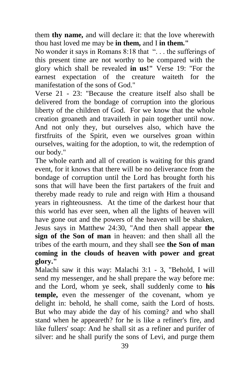them **thy name,** and will declare it: that the love wherewith thou hast loved me may be **in them,** and I **in them."**

No wonder it says in Romans 8:18 that "... the sufferings of this present time are not worthy to be compared with the glory which shall be revealed **in us!"** Verse 19: "For the earnest expectation of the creature waiteth for the manifestation of the sons of God."

Verse 21 - 23: "Because the creature itself also shall be delivered from the bondage of corruption into the glorious liberty of the children of God. For we know that the whole creation groaneth and travaileth in pain together until now. And not only they, but ourselves also, which have the firstfruits of the Spirit, even we ourselves groan within ourselves, waiting for the adoption, to wit, the redemption of our body."

The whole earth and all of creation is waiting for this grand event, for it knows that there will be no deliverance from the bondage of corruption until the Lord has brought forth his sons that will have been the first partakers of the fruit and thereby made ready to rule and reign with Him a thousand years in righteousness. At the time of the darkest hour that this world has ever seen, when all the lights of heaven will have gone out and the powers of the heaven will be shaken, Jesus says in Matthew 24:30, "And then shall appear **the sign of the Son of man** in heaven: and then shall all the tribes of the earth mourn, and they shall see **the Son of man coming in the clouds of heaven with power and great glory."**

Malachi saw it this way: Malachi 3:1 - 3, "Behold, I will send my messenger, and he shall prepare the way before me: and the Lord, whom ye seek, shall suddenly come to **his temple,** even the messenger of the covenant, whom ye delight in: behold, he shall come, saith the Lord of hosts. But who may abide the day of his coming? and who shall stand when he appeareth? for he is like a refiner's fire, and like fullers' soap: And he shall sit as a refiner and purifer of silver: and he shall purify the sons of Levi, and purge them